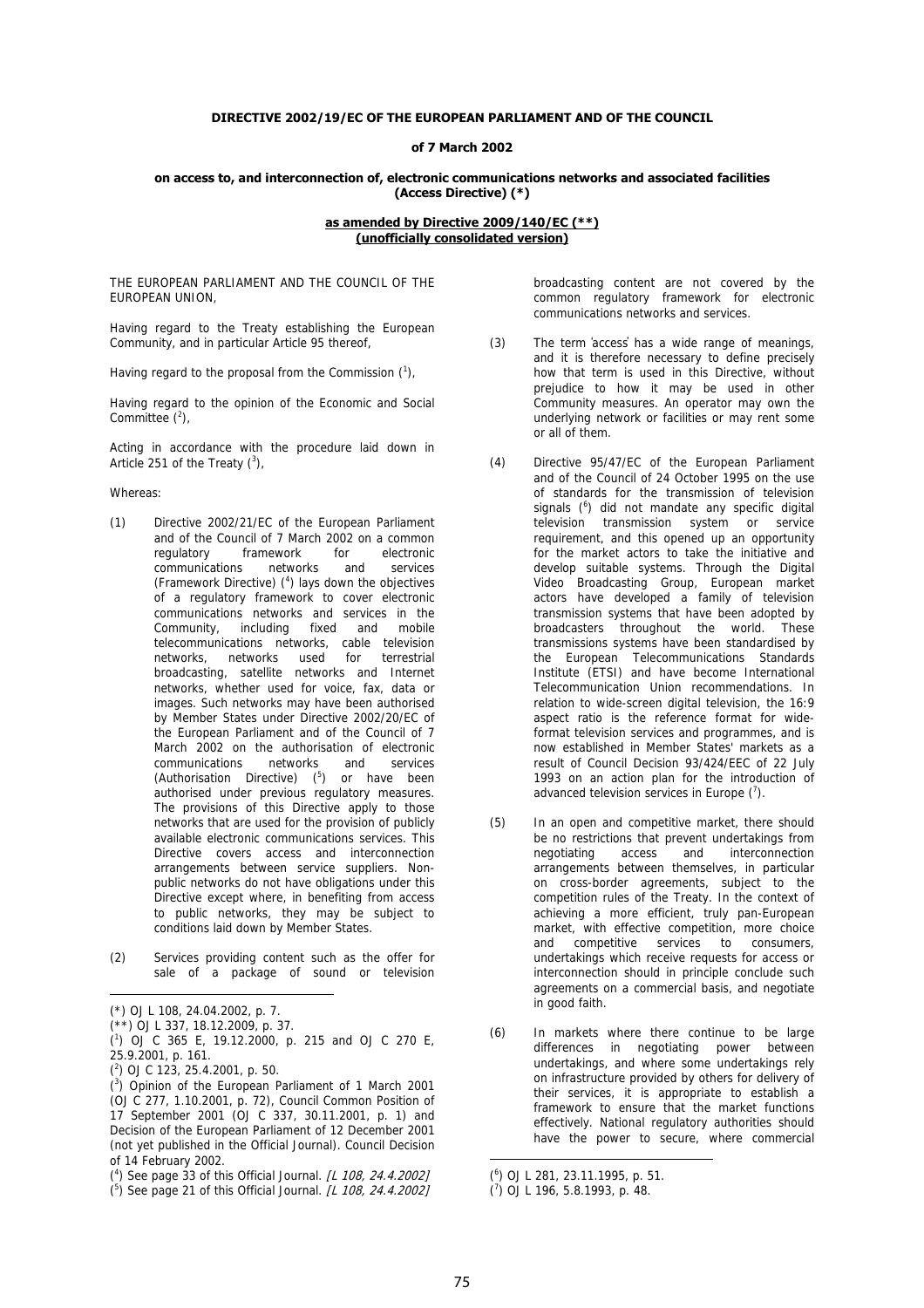## **DIRECTIVE 2002/19/EC OF THE EUROPEAN PARLIAMENT AND OF THE COUNCIL**

## **of 7 March 2002**

#### **on access to, and interconnection of, electronic communications networks and associated facilities (Access Directive) (\*)**

## **as amended by Directive 2009/140/EC (\*\*) (unofficially consolidated version)**

THE EUROPEAN PARLIAMENT AND THE COUNCIL OF THE EUROPEAN UNION,

Having regard to the Treaty establishing the European Community, and in particular Article 95 thereof,

Having regard to the proposal from the Commission (1),

Having regard to the opinion of the Economic and Social Committee (<sup>2</sup>),

Acting in accordance with the procedure laid down in Article 251 of the Treaty  $(3)$ ,

## Whereas:

- (1) Directive 2002/21/EC of the European Parliament and of the Council of 7 March 2002 on a common<br>regulatory framework for electronic framework for electronic<br>https://www.ms.metworks.com/ communications networks and (Framework Directive) (<sup>4</sup> ) lays down the objectives of a regulatory framework to cover electronic communications networks and services in the Community, including fixed and mobile telecommunications networks, cable television networks, networks used for terrestrial broadcasting, satellite networks and Internet networks, whether used for voice, fax, data or images. Such networks may have been authorised by Member States under Directive 2002/20/EC of the European Parliament and of the Council of 7 March 2002 on the authorisation of electronic communications networks and services (Authorisation Directive) (5) or have been authorised under previous regulatory measures. The provisions of this Directive apply to those networks that are used for the provision of publicly available electronic communications services. This Directive covers access and interconnection arrangements between service suppliers. Nonpublic networks do not have obligations under this Directive except where, in benefiting from access to public networks, they may be subject to conditions laid down by Member States.
- (2) Services providing content such as the offer for sale of a package of sound or television

broadcasting content are not covered by the common regulatory framework for electronic communications networks and services.

- (3) The term 'access' has a wide range of meanings, and it is therefore necessary to define precisely how that term is used in this Directive, without prejudice to how it may be used in other Community measures. An operator may own the underlying network or facilities or may rent some or all of them.
- (4) Directive 95/47/EC of the European Parliament and of the Council of 24 October 1995 on the use of standards for the transmission of television signals (<sup>6</sup>) did not mandate any specific digital television transmission system or service requirement, and this opened up an opportunity for the market actors to take the initiative and develop suitable systems. Through the Digital Video Broadcasting Group, European market actors have developed a family of television transmission systems that have been adopted by broadcasters throughout the world. These transmissions systems have been standardised by the European Telecommunications Standards Institute (ETSI) and have become International Telecommunication Union recommendations. In relation to wide-screen digital television, the 16:9 aspect ratio is the reference format for wideformat television services and programmes, and is now established in Member States' markets as a result of Council Decision 93/424/EEC of 22 July 1993 on an action plan for the introduction of advanced television services in Europe  $(7)$ .
- (5) In an open and competitive market, there should be no restrictions that prevent undertakings from negotiating access and interconnection arrangements between themselves, in particular on cross-border agreements, subject to the competition rules of the Treaty. In the context of achieving a more efficient, truly pan-European market, with effective competition, more choice and competitive services to consumers, undertakings which receive requests for access or interconnection should in principle conclude such agreements on a commercial basis, and negotiate in good faith.
- (6) In markets where there continue to be large differences in negotiating power between undertakings, and where some undertakings rely on infrastructure provided by others for delivery of their services, it is appropriate to establish a framework to ensure that the market functions effectively. National regulatory authorities should have the power to secure, where commercial

 $\overline{a}$ 

 $\overline{a}$ (\*) OJ L 108, 24.04.2002, p. 7.

<sup>(\*\*)</sup> OJ L 337, 18.12.2009, p. 37.

<sup>(</sup> 1 ) OJ C 365 E, 19.12.2000, p. 215 and OJ C 270 E, 25.9.2001, p. 161.

<sup>(</sup> 2 ) OJ C 123, 25.4.2001, p. 50.

<sup>(</sup> 3 ) Opinion of the European Parliament of 1 March 2001 (OJ C 277, 1.10.2001, p. 72), Council Common Position of 17 September 2001 (OJ C 337, 30.11.2001, p. 1) and Decision of the European Parliament of 12 December 2001 (not yet published in the Official Journal). Council Decision of 14 February 2002.

<sup>(4)</sup> See page 33 of this Official Journal. [L 108, 24.4.2002]

 $(5)$  See page 21 of this Official Journal.  $[1 108, 24.4.2002]$ 

<sup>(</sup> 6 ) OJ L 281, 23.11.1995, p. 51.

<sup>(</sup> 7 ) OJ L 196, 5.8.1993, p. 48.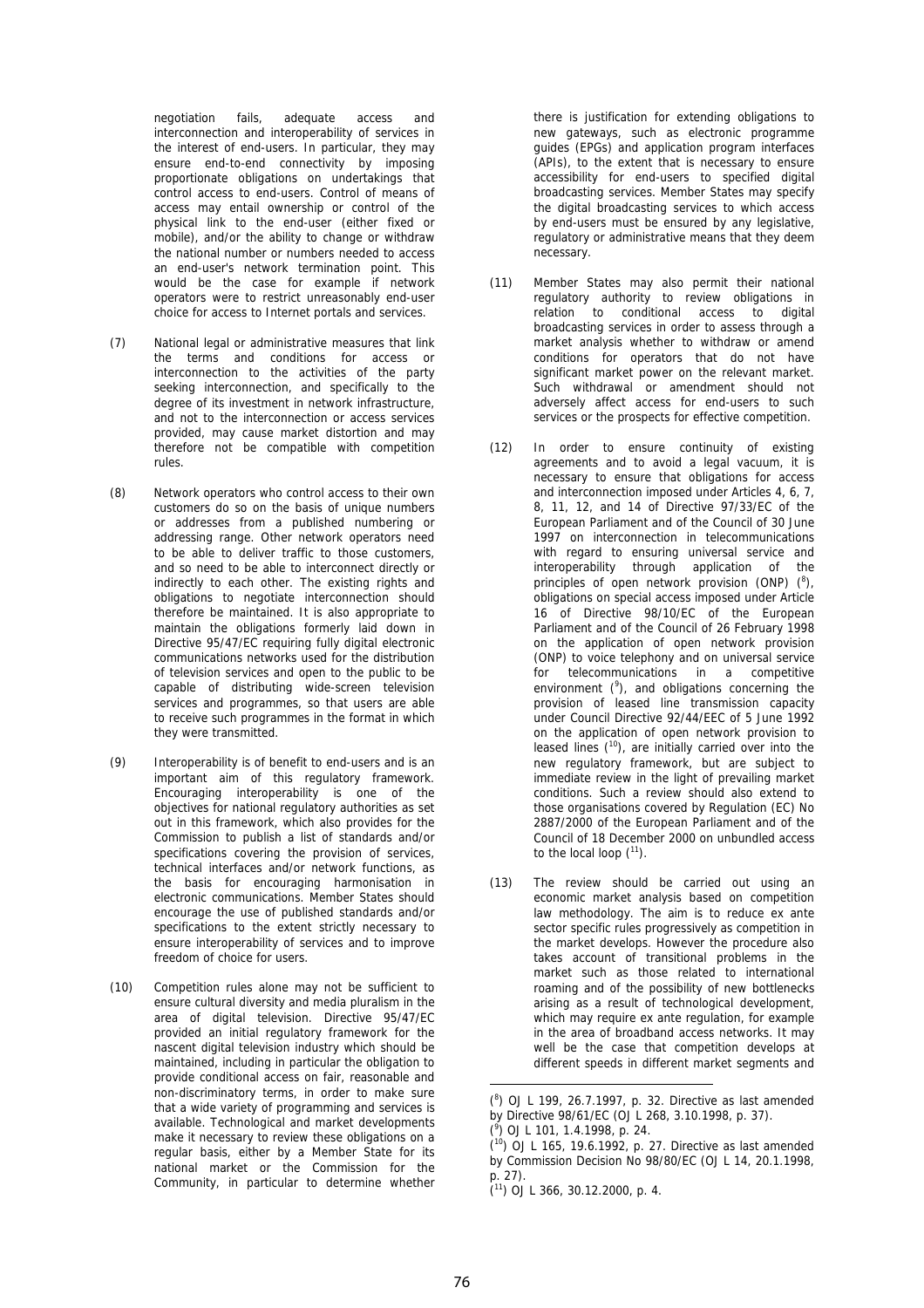negotiation fails, adequate access and interconnection and interoperability of services in the interest of end-users. In particular, they may ensure end-to-end connectivity by imposing proportionate obligations on undertakings that control access to end-users. Control of means of access may entail ownership or control of the physical link to the end-user (either fixed or mobile), and/or the ability to change or withdraw the national number or numbers needed to access an end-user's network termination point. This would be the case for example if network operators were to restrict unreasonably end-user choice for access to Internet portals and services.

- (7) National legal or administrative measures that link the terms and conditions for access or interconnection to the activities of the party seeking interconnection, and specifically to the degree of its investment in network infrastructure, and not to the interconnection or access services provided, may cause market distortion and may therefore not be compatible with competition rules.
- (8) Network operators who control access to their own customers do so on the basis of unique numbers or addresses from a published numbering or addressing range. Other network operators need to be able to deliver traffic to those customers, and so need to be able to interconnect directly or indirectly to each other. The existing rights and obligations to negotiate interconnection should therefore be maintained. It is also appropriate to maintain the obligations formerly laid down in Directive 95/47/EC requiring fully digital electronic communications networks used for the distribution of television services and open to the public to be capable of distributing wide-screen television services and programmes, so that users are able to receive such programmes in the format in which they were transmitted.
- (9) Interoperability is of benefit to end-users and is an important aim of this regulatory framework. Encouraging interoperability is one of the objectives for national regulatory authorities as set out in this framework, which also provides for the Commission to publish a list of standards and/or specifications covering the provision of services, technical interfaces and/or network functions, as the basis for encouraging harmonisation in electronic communications. Member States should encourage the use of published standards and/or specifications to the extent strictly necessary to ensure interoperability of services and to improve freedom of choice for users.
- (10) Competition rules alone may not be sufficient to ensure cultural diversity and media pluralism in the area of digital television. Directive 95/47/EC provided an initial regulatory framework for the nascent digital television industry which should be maintained, including in particular the obligation to provide conditional access on fair, reasonable and non-discriminatory terms, in order to make sure that a wide variety of programming and services is available. Technological and market developments make it necessary to review these obligations on a regular basis, either by a Member State for its national market or the Commission for the Community, in particular to determine whether

there is justification for extending obligations to new gateways, such as electronic programme guides (EPGs) and application program interfaces (APIs), to the extent that is necessary to ensure accessibility for end-users to specified digital broadcasting services. Member States may specify the digital broadcasting services to which access by end-users must be ensured by any legislative, regulatory or administrative means that they deem necessary.

- (11) Member States may also permit their national regulatory authority to review obligations in relation to conditional access to digital broadcasting services in order to assess through a market analysis whether to withdraw or amend conditions for operators that do not have significant market power on the relevant market. Such withdrawal or amendment should not adversely affect access for end-users to such services or the prospects for effective competition.
- (12) In order to ensure continuity of existing agreements and to avoid a legal vacuum, it is necessary to ensure that obligations for access and interconnection imposed under Articles 4, 6, 7, 8, 11, 12, and 14 of Directive 97/33/EC of the European Parliament and of the Council of 30 June 1997 on interconnection in telecommunications with regard to ensuring universal service and interoperability through application of the principles of open network provision (ONP) (<sup>8</sup>), obligations on special access imposed under Article 16 of Directive 98/10/EC of the European Parliament and of the Council of 26 February 1998 on the application of open network provision (ONP) to voice telephony and on universal service for telecommunications in a competitive environment (<sup>9</sup>), and obligations concerning the provision of leased line transmission capacity under Council Directive 92/44/EEC of 5 June 1992 on the application of open network provision to leased lines (10), are initially carried over into the new regulatory framework, but are subject to immediate review in the light of prevailing market conditions. Such a review should also extend to those organisations covered by Regulation (EC) No 2887/2000 of the European Parliament and of the Council of 18 December 2000 on unbundled access to the local loop  $(^{11})$ .
- (13) The review should be carried out using an economic market analysis based on competition law methodology. The aim is to reduce ex ante sector specific rules progressively as competition in the market develops. However the procedure also takes account of transitional problems in the market such as those related to international roaming and of the possibility of new bottlenecks arising as a result of technological development, which may require ex ante regulation, for example in the area of broadband access networks. It may well be the case that competition develops at different speeds in different market segments and

( 11) OJ L 366, 30.12.2000, p. 4.

l

<sup>(</sup> 8 ) OJ L 199, 26.7.1997, p. 32. Directive as last amended by Directive 98/61/EC (OJ L 268, 3.10.1998, p. 37).

<sup>(°)</sup> OJ L 101, 1.4.1998, p. 24.<br>(<sup>10</sup>) OJ L 165, 19.6.1992, p. 27. Directive as last amended by Commission Decision No 98/80/EC (OJ L 14, 20.1.1998, p. 27).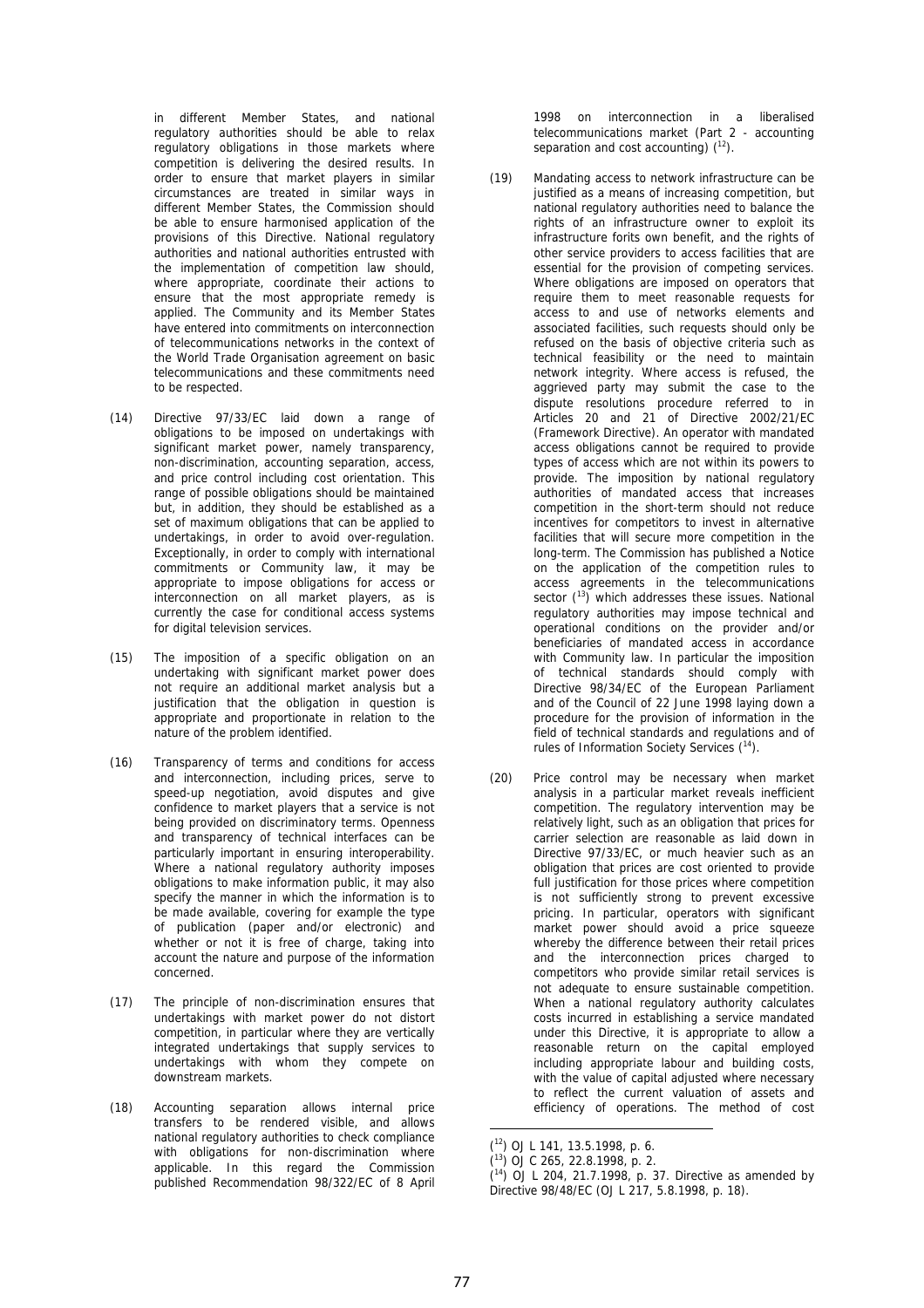in different Member States, and national regulatory authorities should be able to relax regulatory obligations in those markets where competition is delivering the desired results. In order to ensure that market players in similar circumstances are treated in similar ways in different Member States, the Commission should be able to ensure harmonised application of the provisions of this Directive. National regulatory authorities and national authorities entrusted with the implementation of competition law should, where appropriate, coordinate their actions to ensure that the most appropriate remedy is applied. The Community and its Member States have entered into commitments on interconnection of telecommunications networks in the context of the World Trade Organisation agreement on basic telecommunications and these commitments need to be respected.

- (14) Directive 97/33/EC laid down a range of obligations to be imposed on undertakings with significant market power, namely transparency, non-discrimination, accounting separation, access, and price control including cost orientation. This range of possible obligations should be maintained but, in addition, they should be established as a set of maximum obligations that can be applied to undertakings, in order to avoid over-regulation. Exceptionally, in order to comply with international commitments or Community law, it may be appropriate to impose obligations for access or interconnection on all market players, as is currently the case for conditional access systems for digital television services.
- (15) The imposition of a specific obligation on an undertaking with significant market power does not require an additional market analysis but a justification that the obligation in question is appropriate and proportionate in relation to the nature of the problem identified.
- (16) Transparency of terms and conditions for access and interconnection, including prices, serve to speed-up negotiation, avoid disputes and give confidence to market players that a service is not being provided on discriminatory terms. Openness and transparency of technical interfaces can be particularly important in ensuring interoperability. Where a national regulatory authority imposes obligations to make information public, it may also specify the manner in which the information is to be made available, covering for example the type of publication (paper and/or electronic) and whether or not it is free of charge, taking into account the nature and purpose of the information concerned.
- (17) The principle of non-discrimination ensures that undertakings with market power do not distort competition, in particular where they are vertically integrated undertakings that supply services to undertakings with whom they compete on downstream markets.
- (18) Accounting separation allows internal price transfers to be rendered visible, and allows national regulatory authorities to check compliance with obligations for non-discrimination where applicable. In this regard the Commission published Recommendation 98/322/EC of 8 April

1998 on interconnection in a liberalised telecommunications market (Part 2 - accounting separation and cost accounting)  $(^{12})$ .

- (19) Mandating access to network infrastructure can be justified as a means of increasing competition, but national regulatory authorities need to balance the rights of an infrastructure owner to exploit its infrastructure forits own benefit, and the rights of other service providers to access facilities that are essential for the provision of competing services. Where obligations are imposed on operators that require them to meet reasonable requests for access to and use of networks elements and associated facilities, such requests should only be refused on the basis of objective criteria such as technical feasibility or the need to maintain network integrity. Where access is refused, the aggrieved party may submit the case to the dispute resolutions procedure referred to in Articles 20 and 21 of Directive 2002/21/EC (Framework Directive). An operator with mandated access obligations cannot be required to provide types of access which are not within its powers to provide. The imposition by national regulatory authorities of mandated access that increases competition in the short-term should not reduce incentives for competitors to invest in alternative facilities that will secure more competition in the long-term. The Commission has published a Notice on the application of the competition rules to access agreements in the telecommunications sector (13) which addresses these issues. National regulatory authorities may impose technical and operational conditions on the provider and/or beneficiaries of mandated access in accordance with Community law. In particular the imposition of technical standards should comply with Directive 98/34/EC of the European Parliament and of the Council of 22 June 1998 laying down a procedure for the provision of information in the field of technical standards and regulations and of rules of Information Society Services (14).
- (20) Price control may be necessary when market analysis in a particular market reveals inefficient competition. The regulatory intervention may be relatively light, such as an obligation that prices for carrier selection are reasonable as laid down in Directive 97/33/EC, or much heavier such as an obligation that prices are cost oriented to provide full justification for those prices where competition is not sufficiently strong to prevent excessive pricing. In particular, operators with significant market power should avoid a price squeeze whereby the difference between their retail prices and the interconnection prices charged to competitors who provide similar retail services is not adequate to ensure sustainable competition. When a national regulatory authority calculates costs incurred in establishing a service mandated under this Directive, it is appropriate to allow a reasonable return on the capital employed including appropriate labour and building costs, with the value of capital adjusted where necessary to reflect the current valuation of assets and efficiency of operations. The method of cost

 $\overline{a}$ 

<sup>(</sup> 12) OJ L 141, 13.5.1998, p. 6.

<sup>(</sup> 13) OJ C 265, 22.8.1998, p. 2.

<sup>(</sup> 14) OJ L 204, 21.7.1998, p. 37. Directive as amended by Directive 98/48/EC (OJ L 217, 5.8.1998, p. 18).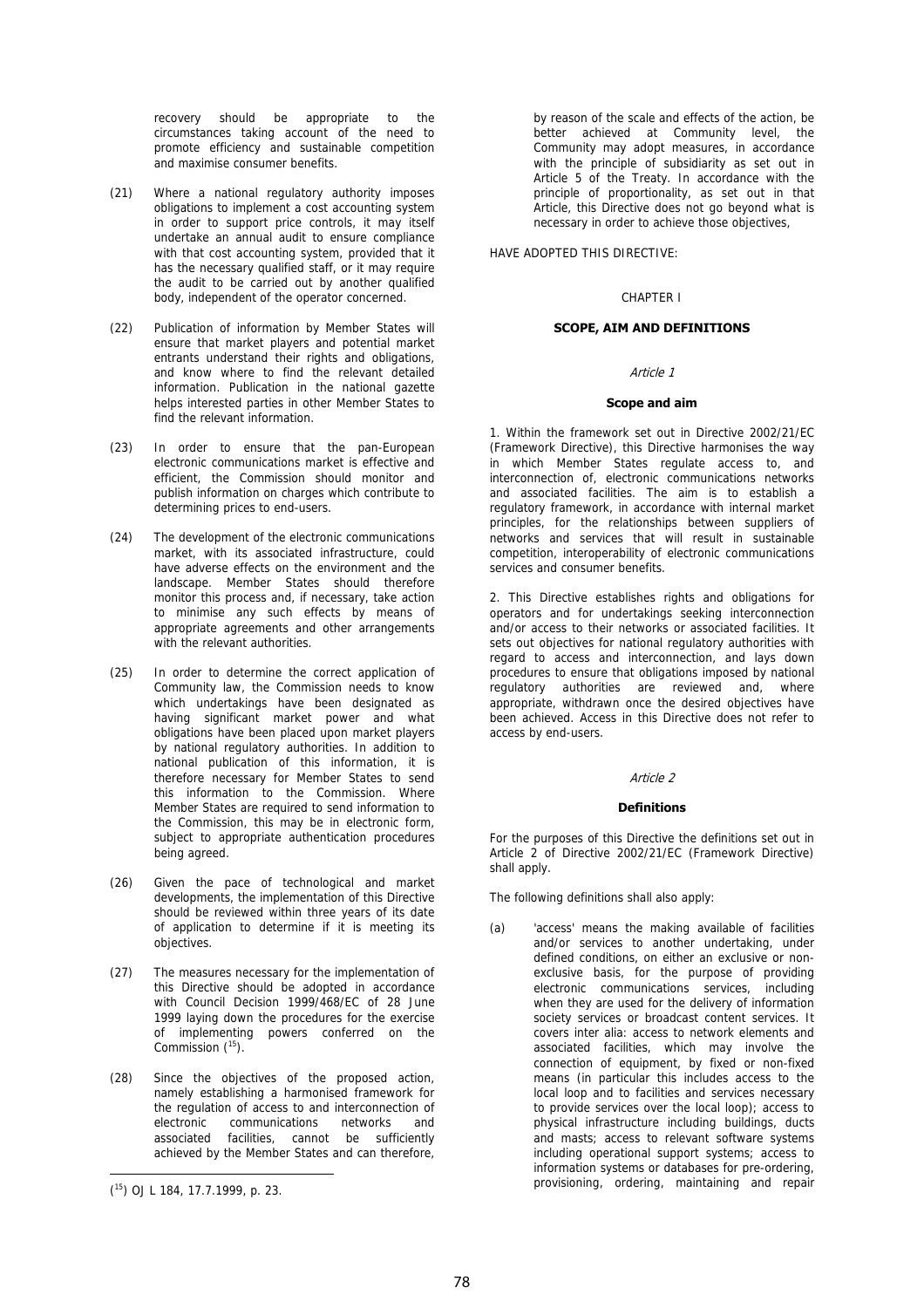recovery should be appropriate to the circumstances taking account of the need to promote efficiency and sustainable competition and maximise consumer benefits.

- (21) Where a national regulatory authority imposes obligations to implement a cost accounting system in order to support price controls, it may itself undertake an annual audit to ensure compliance with that cost accounting system, provided that it has the necessary qualified staff, or it may require the audit to be carried out by another qualified body, independent of the operator concerned.
- (22) Publication of information by Member States will ensure that market players and potential market entrants understand their rights and obligations, and know where to find the relevant detailed information. Publication in the national gazette helps interested parties in other Member States to find the relevant information.
- (23) In order to ensure that the pan-European electronic communications market is effective and efficient, the Commission should monitor and publish information on charges which contribute to determining prices to end-users.
- (24) The development of the electronic communications market, with its associated infrastructure, could have adverse effects on the environment and the landscape. Member States should therefore monitor this process and, if necessary, take action to minimise any such effects by means of appropriate agreements and other arrangements with the relevant authorities.
- (25) In order to determine the correct application of Community law, the Commission needs to know which undertakings have been designated as having significant market power and what obligations have been placed upon market players by national regulatory authorities. In addition to national publication of this information, it is therefore necessary for Member States to send this information to the Commission. Where Member States are required to send information to the Commission, this may be in electronic form, subject to appropriate authentication procedures being agreed.
- (26) Given the pace of technological and market developments, the implementation of this Directive should be reviewed within three years of its date of application to determine if it is meeting its objectives.
- (27) The measures necessary for the implementation of this Directive should be adopted in accordance with Council Decision 1999/468/EC of 28 June 1999 laying down the procedures for the exercise of implementing powers conferred on the Commission (<sup>15</sup>).
- (28) Since the objectives of the proposed action, namely establishing a harmonised framework for the regulation of access to and interconnection of<br>electronic communications networks and communications networks associated facilities, cannot be sufficiently achieved by the Member States and can therefore,

by reason of the scale and effects of the action, be better achieved at Community level, the Community may adopt measures, in accordance with the principle of subsidiarity as set out in Article 5 of the Treaty. In accordance with the principle of proportionality, as set out in that Article, this Directive does not go beyond what is necessary in order to achieve those objectives,

HAVE ADOPTED THIS DIRECTIVE:

## CHAPTER I

## **SCOPE, AIM AND DEFINITIONS**

# Article 1

### **Scope and aim**

1. Within the framework set out in Directive 2002/21/EC (Framework Directive), this Directive harmonises the way in which Member States regulate access to, and interconnection of, electronic communications networks and associated facilities. The aim is to establish a regulatory framework, in accordance with internal market principles, for the relationships between suppliers of networks and services that will result in sustainable competition, interoperability of electronic communications services and consumer benefits.

2. This Directive establishes rights and obligations for operators and for undertakings seeking interconnection and/or access to their networks or associated facilities. It sets out objectives for national regulatory authorities with regard to access and interconnection, and lays down procedures to ensure that obligations imposed by national regulatory authorities are reviewed and, where appropriate, withdrawn once the desired objectives have been achieved. Access in this Directive does not refer to access by end-users.

### Article 2

#### **Definitions**

For the purposes of this Directive the definitions set out in Article 2 of Directive 2002/21/EC (Framework Directive) shall apply.

The following definitions shall also apply:

(a) 'access' means the making available of facilities and/or services to another undertaking, under defined conditions, on either an exclusive or nonexclusive basis, for the purpose of providing electronic communications services, including when they are used for the delivery of information society services or broadcast content services. It covers inter alia: access to network elements and associated facilities, which may involve the connection of equipment, by fixed or non-fixed means (in particular this includes access to the local loop and to facilities and services necessary to provide services over the local loop); access to physical infrastructure including buildings, ducts and masts; access to relevant software systems including operational support systems; access to information systems or databases for pre-ordering, provisioning, ordering, maintaining and repair

l ( 15) OJ L 184, 17.7.1999, p. 23.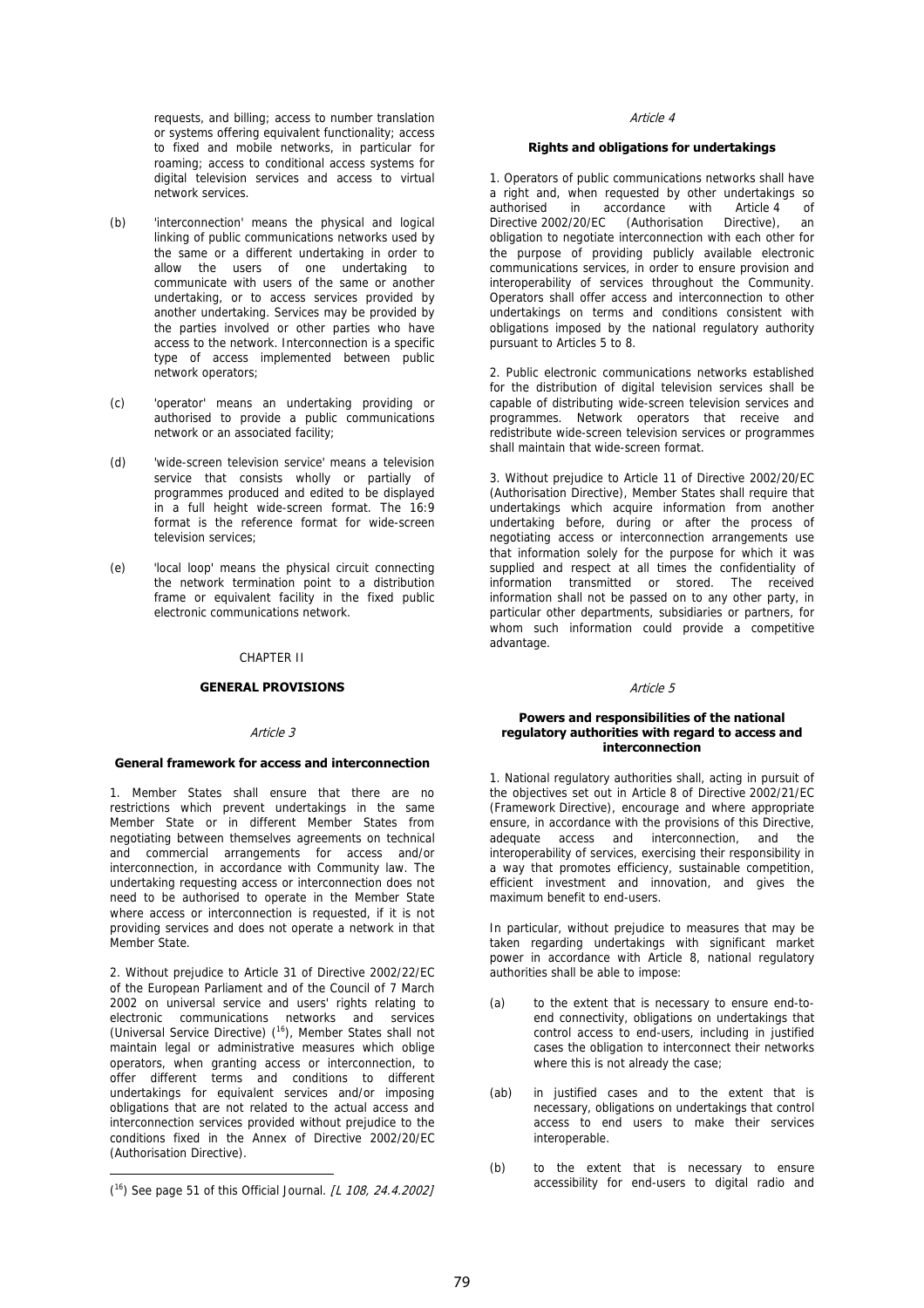requests, and billing; access to number translation or systems offering equivalent functionality; access to fixed and mobile networks, in particular for roaming; access to conditional access systems for digital television services and access to virtual network services.

- (b) 'interconnection' means the physical and logical linking of public communications networks used by the same or a different undertaking in order to allow the users of one undertaking to communicate with users of the same or another undertaking, or to access services provided by another undertaking. Services may be provided by the parties involved or other parties who have access to the network. Interconnection is a specific type of access implemented between public network operators;
- (c) 'operator' means an undertaking providing or authorised to provide a public communications network or an associated facility;
- (d) 'wide-screen television service' means a television service that consists wholly or partially of programmes produced and edited to be displayed in a full height wide-screen format. The 16:9 format is the reference format for wide-screen television services;
- (e) 'local loop' means the physical circuit connecting the network termination point to a distribution frame or equivalent facility in the fixed public electronic communications network.

## CHAPTER II

#### **GENERAL PROVISIONS**

#### Article 3

### **General framework for access and interconnection**

1. Member States shall ensure that there are no restrictions which prevent undertakings in the same Member State or in different Member States from negotiating between themselves agreements on technical and commercial arrangements for access and/or interconnection, in accordance with Community law. The undertaking requesting access or interconnection does not need to be authorised to operate in the Member State where access or interconnection is requested, if it is not providing services and does not operate a network in that Member State.

2. Without prejudice to Article 31 of Directive 2002/22/EC of the European Parliament and of the Council of 7 March 2002 on universal service and users' rights relating to electronic communications networks and services (Universal Service Directive) (16), Member States shall not maintain legal or administrative measures which oblige operators, when granting access or interconnection, to offer different terms and conditions to different undertakings for equivalent services and/or imposing obligations that are not related to the actual access and interconnection services provided without prejudice to the conditions fixed in the Annex of Directive 2002/20/EC (Authorisation Directive).

l

## Article 4

### **Rights and obligations for undertakings**

1. Operators of public communications networks shall have a right and, when requested by other undertakings so<br>authorised in accordance with Article 4 of accordance Directive 2002/20/EC (Authorisation Directive), an obligation to negotiate interconnection with each other for the purpose of providing publicly available electronic communications services, in order to ensure provision and interoperability of services throughout the Community. Operators shall offer access and interconnection to other undertakings on terms and conditions consistent with obligations imposed by the national regulatory authority pursuant to Articles 5 to 8.

2. Public electronic communications networks established for the distribution of digital television services shall be capable of distributing wide-screen television services and programmes. Network operators that receive and redistribute wide-screen television services or programmes shall maintain that wide-screen format.

3. Without prejudice to Article 11 of Directive 2002/20/EC (Authorisation Directive), Member States shall require that undertakings which acquire information from another undertaking before, during or after the process of negotiating access or interconnection arrangements use that information solely for the purpose for which it was supplied and respect at all times the confidentiality of information transmitted or stored. The received information shall not be passed on to any other party, in particular other departments, subsidiaries or partners, for whom such information could provide a competitive advantage.

#### $Artich 5$

### **Powers and responsibilities of the national regulatory authorities with regard to access and interconnection**

1. National regulatory authorities shall, acting in pursuit of the objectives set out in Article 8 of Directive 2002/21/EC (Framework Directive), encourage and where appropriate ensure, in accordance with the provisions of this Directive,<br>adequate access and interconnection, and the adequate access and interconnection, and interoperability of services, exercising their responsibility in a way that promotes efficiency, sustainable competition, efficient investment and innovation, and gives the maximum benefit to end-users.

In particular, without prejudice to measures that may be taken regarding undertakings with significant market power in accordance with Article 8, national regulatory authorities shall be able to impose:

- (a) to the extent that is necessary to ensure end-toend connectivity, obligations on undertakings that control access to end-users, including in justified cases the obligation to interconnect their networks where this is not already the case;
- (ab) in justified cases and to the extent that is necessary, obligations on undertakings that control access to end users to make their services interoperable.
- (b) to the extent that is necessary to ensure accessibility for end-users to digital radio and

 $(16)$  See page 51 of this Official Journal. [L 108, 24.4.2002]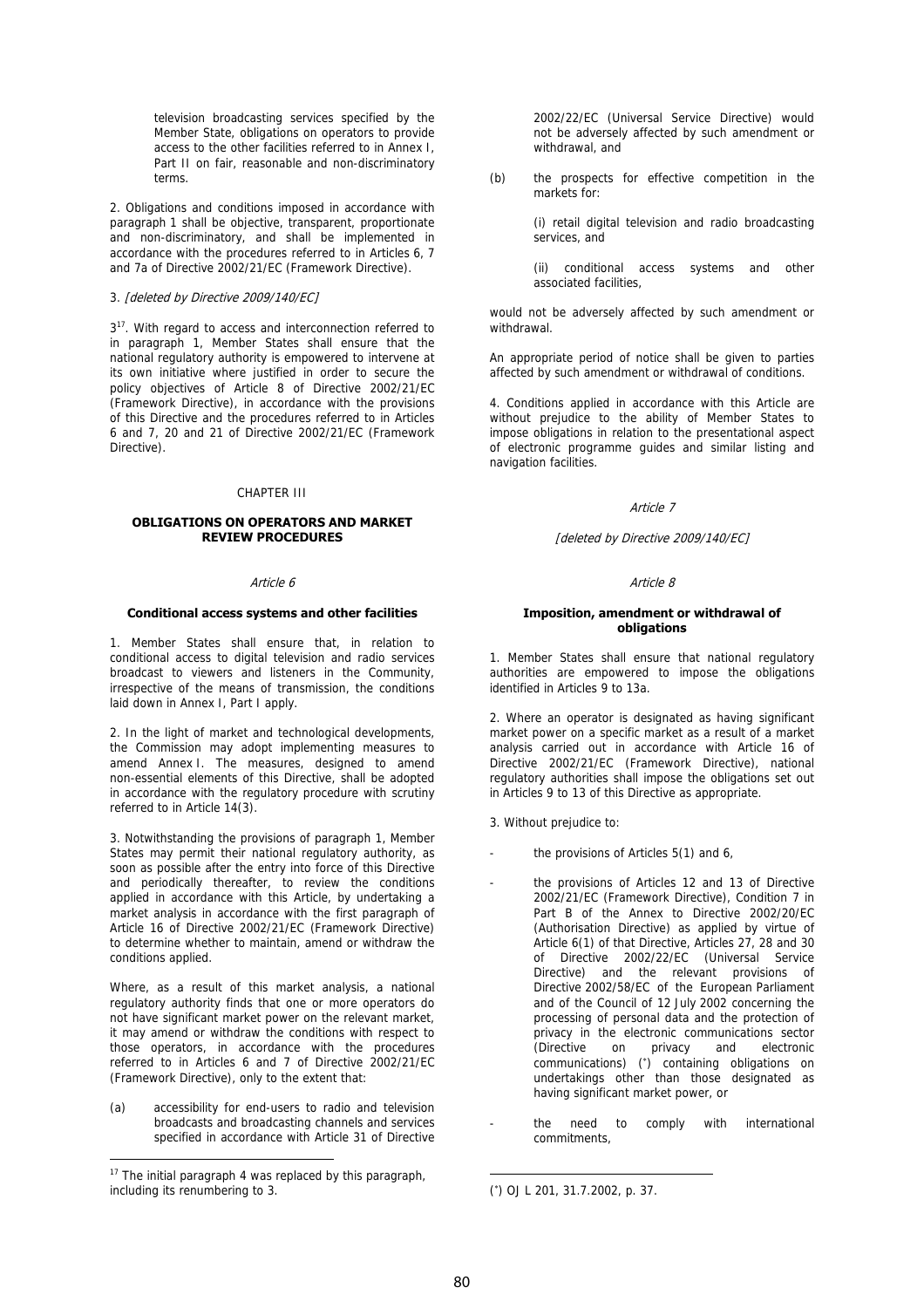television broadcasting services specified by the Member State, obligations on operators to provide access to the other facilities referred to in Annex I, Part II on fair, reasonable and non-discriminatory terms.

2. Obligations and conditions imposed in accordance with paragraph 1 shall be objective, transparent, proportionate and non-discriminatory, and shall be implemented in accordance with the procedures referred to in Articles 6, 7 and 7a of Directive 2002/21/EC (Framework Directive).

## 3. [deleted by Directive 2009/140/EC]

 $3^{17}$ . With regard to access and interconnection referred to in paragraph 1, Member States shall ensure that the national regulatory authority is empowered to intervene at its own initiative where justified in order to secure the policy objectives of Article 8 of Directive 2002/21/EC (Framework Directive), in accordance with the provisions of this Directive and the procedures referred to in Articles 6 and 7, 20 and 21 of Directive 2002/21/EC (Framework Directive).

### CHAPTER III

#### **OBLIGATIONS ON OPERATORS AND MARKET REVIEW PROCEDURES**

#### Article 6

#### **Conditional access systems and other facilities**

1. Member States shall ensure that, in relation to conditional access to digital television and radio services broadcast to viewers and listeners in the Community, irrespective of the means of transmission, the conditions laid down in Annex I, Part I apply.

2. In the light of market and technological developments, the Commission may adopt implementing measures to amend Annex I. The measures, designed to amend non-essential elements of this Directive, shall be adopted in accordance with the regulatory procedure with scrutiny referred to in Article 14(3).

3. Notwithstanding the provisions of paragraph 1, Member States may permit their national regulatory authority, as soon as possible after the entry into force of this Directive and periodically thereafter, to review the conditions applied in accordance with this Article, by undertaking a market analysis in accordance with the first paragraph of Article 16 of Directive 2002/21/EC (Framework Directive) to determine whether to maintain, amend or withdraw the conditions applied.

Where, as a result of this market analysis, a national regulatory authority finds that one or more operators do not have significant market power on the relevant market, it may amend or withdraw the conditions with respect to those operators, in accordance with the procedures referred to in Articles 6 and 7 of Directive 2002/21/EC (Framework Directive), only to the extent that:

(a) accessibility for end-users to radio and television broadcasts and broadcasting channels and services specified in accordance with Article 31 of Directive

 $\overline{a}$ 

2002/22/EC (Universal Service Directive) would not be adversely affected by such amendment or withdrawal, and

(b) the prospects for effective competition in the markets for:

> (i) retail digital television and radio broadcasting services, and

> (ii) conditional access systems and other associated facilities,

would not be adversely affected by such amendment or withdrawal.

An appropriate period of notice shall be given to parties affected by such amendment or withdrawal of conditions.

4. Conditions applied in accordance with this Article are without prejudice to the ability of Member States to impose obligations in relation to the presentational aspect of electronic programme guides and similar listing and navigation facilities.

### Article 7

[deleted by Directive 2009/140/EC]

#### Article 8

### **Imposition, amendment or withdrawal of obligations**

1. Member States shall ensure that national regulatory authorities are empowered to impose the obligations identified in Articles 9 to 13a.

2. Where an operator is designated as having significant market power on a specific market as a result of a market analysis carried out in accordance with Article 16 of Directive 2002/21/EC (Framework Directive), national regulatory authorities shall impose the obligations set out in Articles 9 to 13 of this Directive as appropriate.

3. Without prejudice to:

- the provisions of Articles 5(1) and 6,
- the provisions of Articles 12 and 13 of Directive 2002/21/EC (Framework Directive), Condition 7 in Part B of the Annex to Directive 2002/20/EC (Authorisation Directive) as applied by virtue of Article 6(1) of that Directive, Articles 27, 28 and 30 of Directive 2002/22/EC (Universal Service Directive) and the relevant provisions of Directive 2002/58/EC of the European Parliament and of the Council of 12 July 2002 concerning the processing of personal data and the protection of privacy in the electronic communications sector<br>(Directive on privacy and electronic on privacy communications) (<sup>∗</sup> ) containing obligations on undertakings other than those designated as having significant market power, or
- the need to comply with international commitments,

 $\overline{a}$ 

<sup>&</sup>lt;sup>17</sup> The initial paragraph 4 was replaced by this paragraph, including its renumbering to 3.

<sup>(</sup> ∗ ) OJ L 201, 31.7.2002, p. 37.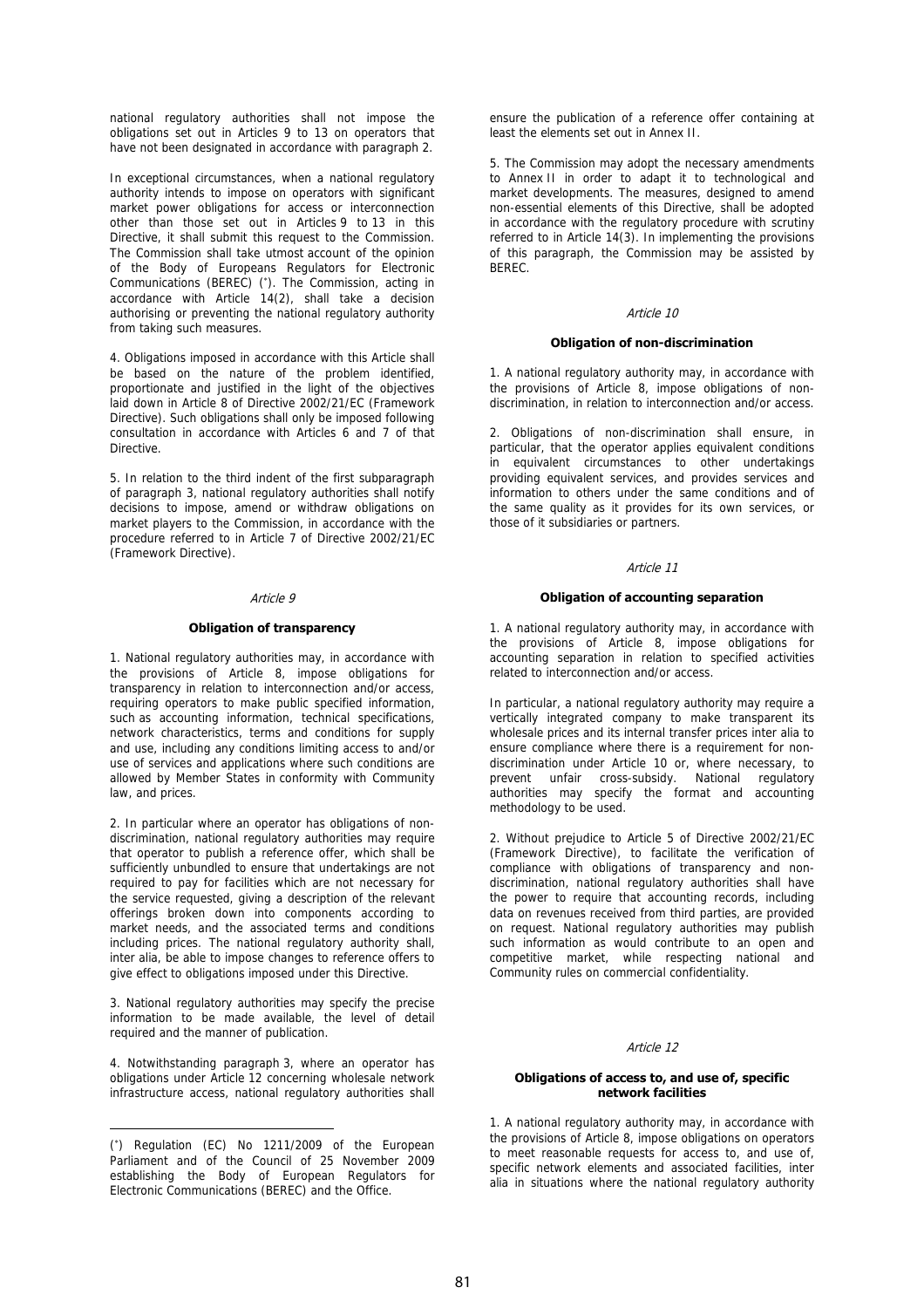national regulatory authorities shall not impose the obligations set out in Articles 9 to 13 on operators that have not been designated in accordance with paragraph 2.

In exceptional circumstances, when a national regulatory authority intends to impose on operators with significant market power obligations for access or interconnection other than those set out in Articles 9 to 13 in this Directive, it shall submit this request to the Commission. The Commission shall take utmost account of the opinion of the Body of Europeans Regulators for Electronic Communications (BEREC) (<sup>∗</sup> ). The Commission, acting in accordance with Article 14(2), shall take a decision authorising or preventing the national regulatory authority from taking such measures.

4. Obligations imposed in accordance with this Article shall be based on the nature of the problem identified, proportionate and justified in the light of the objectives laid down in Article 8 of Directive 2002/21/EC (Framework Directive). Such obligations shall only be imposed following consultation in accordance with Articles 6 and 7 of that Directive.

5. In relation to the third indent of the first subparagraph of paragraph 3, national regulatory authorities shall notify decisions to impose, amend or withdraw obligations on market players to the Commission, in accordance with the procedure referred to in Article 7 of Directive 2002/21/EC (Framework Directive).

### Article 9

#### **Obligation of transparency**

1. National regulatory authorities may, in accordance with the provisions of Article 8, impose obligations for transparency in relation to interconnection and/or access, requiring operators to make public specified information, such as accounting information, technical specifications, network characteristics, terms and conditions for supply and use, including any conditions limiting access to and/or use of services and applications where such conditions are allowed by Member States in conformity with Community law, and prices.

2. In particular where an operator has obligations of nondiscrimination, national regulatory authorities may require that operator to publish a reference offer, which shall be sufficiently unbundled to ensure that undertakings are not required to pay for facilities which are not necessary for the service requested, giving a description of the relevant offerings broken down into components according to market needs, and the associated terms and conditions including prices. The national regulatory authority shall, inter alia, be able to impose changes to reference offers to give effect to obligations imposed under this Directive.

3. National regulatory authorities may specify the precise information to be made available, the level of detail required and the manner of publication.

4. Notwithstanding paragraph 3, where an operator has obligations under Article 12 concerning wholesale network infrastructure access, national regulatory authorities shall

 $\overline{a}$ 

ensure the publication of a reference offer containing at least the elements set out in Annex II.

5. The Commission may adopt the necessary amendments to Annex II in order to adapt it to technological and market developments. The measures, designed to amend non-essential elements of this Directive, shall be adopted in accordance with the regulatory procedure with scrutiny referred to in Article 14(3). In implementing the provisions of this paragraph, the Commission may be assisted by BEREC.

### Article 10

#### **Obligation of non-discrimination**

1. A national regulatory authority may, in accordance with the provisions of Article 8, impose obligations of nondiscrimination, in relation to interconnection and/or access.

2. Obligations of non-discrimination shall ensure, in particular, that the operator applies equivalent conditions equivalent circumstances to other undertakings providing equivalent services, and provides services and information to others under the same conditions and of the same quality as it provides for its own services, or those of it subsidiaries or partners.

### Article 11

#### **Obligation of accounting separation**

1. A national regulatory authority may, in accordance with the provisions of Article 8, impose obligations for accounting separation in relation to specified activities related to interconnection and/or access.

In particular, a national regulatory authority may require a vertically integrated company to make transparent its wholesale prices and its internal transfer prices inter alia to ensure compliance where there is a requirement for nondiscrimination under Article 10 or, where necessary, to prevent unfair cross-subsidy. National regulatory authorities may specify the format and accounting methodology to be used.

2. Without prejudice to Article 5 of Directive 2002/21/EC (Framework Directive), to facilitate the verification of compliance with obligations of transparency and nondiscrimination, national regulatory authorities shall have the power to require that accounting records, including data on revenues received from third parties, are provided on request. National regulatory authorities may publish such information as would contribute to an open and competitive market, while respecting national and Community rules on commercial confidentiality.

## Article 12

## **Obligations of access to, and use of, specific network facilities**

1. A national regulatory authority may, in accordance with the provisions of Article 8, impose obligations on operators to meet reasonable requests for access to, and use of, specific network elements and associated facilities, inter alia in situations where the national regulatory authority

<sup>(</sup> ∗ ) Regulation (EC) No 1211/2009 of the European Parliament and of the Council of 25 November 2009 establishing the Body of European Regulators for Electronic Communications (BEREC) and the Office.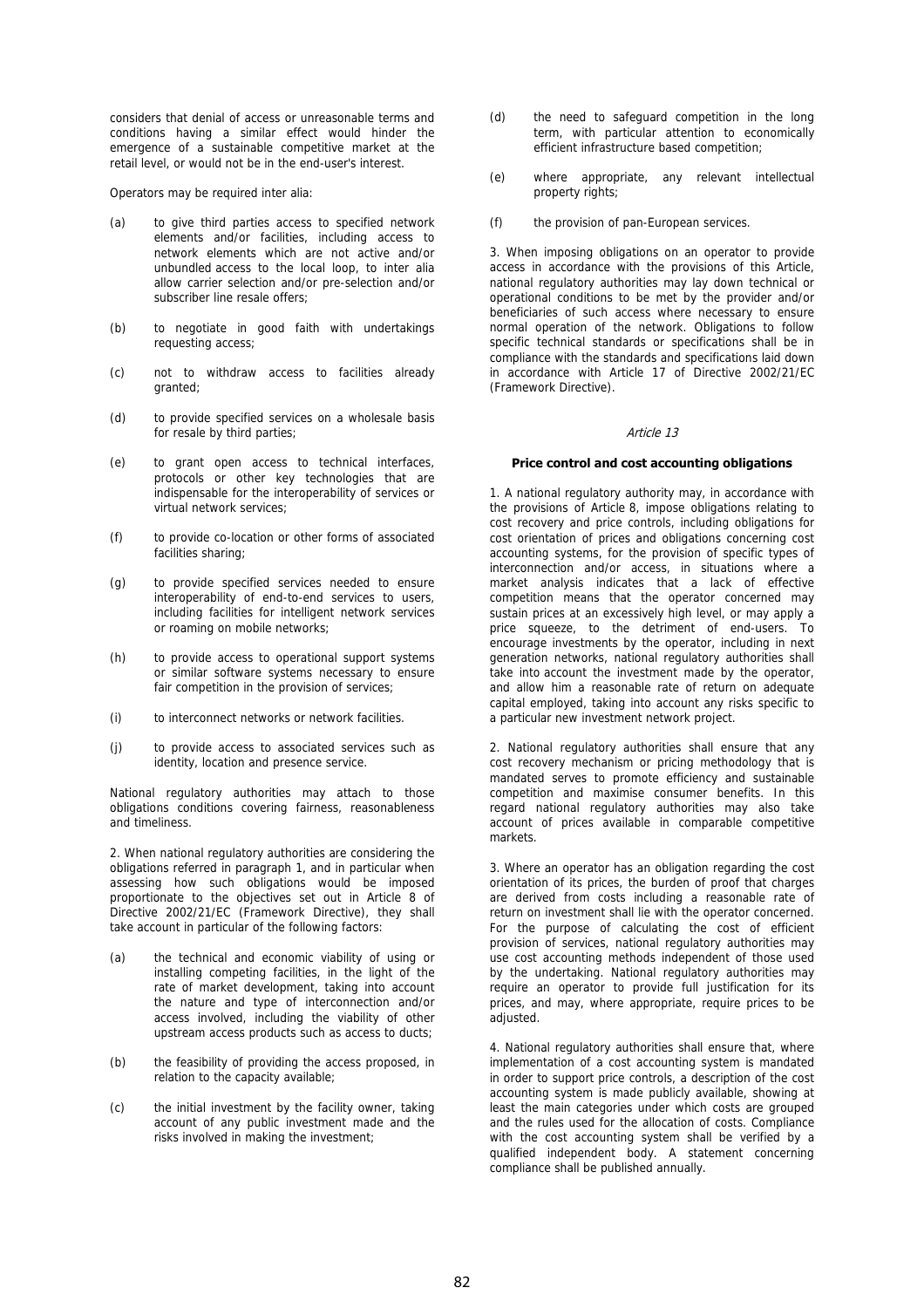considers that denial of access or unreasonable terms and conditions having a similar effect would hinder the emergence of a sustainable competitive market at the retail level, or would not be in the end-user's interest.

Operators may be required inter alia:

- (a) to give third parties access to specified network elements and/or facilities, including access to network elements which are not active and/or unbundled access to the local loop, to inter alia allow carrier selection and/or pre-selection and/or subscriber line resale offers;
- (b) to negotiate in good faith with undertakings requesting access;
- (c) not to withdraw access to facilities already granted;
- (d) to provide specified services on a wholesale basis for resale by third parties;
- (e) to grant open access to technical interfaces, protocols or other key technologies that are indispensable for the interoperability of services or virtual network services;
- (f) to provide co-location or other forms of associated facilities sharing;
- (g) to provide specified services needed to ensure interoperability of end-to-end services to users, including facilities for intelligent network services or roaming on mobile networks;
- (h) to provide access to operational support systems or similar software systems necessary to ensure fair competition in the provision of services;
- (i) to interconnect networks or network facilities.
- (j) to provide access to associated services such as identity, location and presence service.

National regulatory authorities may attach to those obligations conditions covering fairness, reasonableness and timeliness.

2. When national regulatory authorities are considering the obligations referred in paragraph 1, and in particular when assessing how such obligations would be imposed proportionate to the objectives set out in Article 8 of Directive 2002/21/EC (Framework Directive), they shall take account in particular of the following factors:

- (a) the technical and economic viability of using or installing competing facilities, in the light of the rate of market development, taking into account the nature and type of interconnection and/or access involved, including the viability of other upstream access products such as access to ducts;
- (b) the feasibility of providing the access proposed, in relation to the capacity available;
- (c) the initial investment by the facility owner, taking account of any public investment made and the risks involved in making the investment;
- (d) the need to safeguard competition in the long term, with particular attention to economically efficient infrastructure based competition;
- (e) where appropriate, any relevant intellectual property rights;
- (f) the provision of pan-European services.

3. When imposing obligations on an operator to provide access in accordance with the provisions of this Article, national regulatory authorities may lay down technical or operational conditions to be met by the provider and/or beneficiaries of such access where necessary to ensure normal operation of the network. Obligations to follow specific technical standards or specifications shall be in compliance with the standards and specifications laid down in accordance with Article 17 of Directive 2002/21/EC (Framework Directive).

#### Article 13

### **Price control and cost accounting obligations**

1. A national regulatory authority may, in accordance with the provisions of Article 8, impose obligations relating to cost recovery and price controls, including obligations for cost orientation of prices and obligations concerning cost accounting systems, for the provision of specific types of interconnection and/or access, in situations where a market analysis indicates that a lack of effective competition means that the operator concerned may sustain prices at an excessively high level, or may apply a price squeeze, to the detriment of end-users. To encourage investments by the operator, including in next generation networks, national regulatory authorities shall take into account the investment made by the operator, and allow him a reasonable rate of return on adequate capital employed, taking into account any risks specific to a particular new investment network project.

2. National regulatory authorities shall ensure that any cost recovery mechanism or pricing methodology that is mandated serves to promote efficiency and sustainable competition and maximise consumer benefits. In this regard national regulatory authorities may also take account of prices available in comparable competitive markets.

3. Where an operator has an obligation regarding the cost orientation of its prices, the burden of proof that charges are derived from costs including a reasonable rate of return on investment shall lie with the operator concerned. For the purpose of calculating the cost of efficient provision of services, national regulatory authorities may use cost accounting methods independent of those used by the undertaking. National regulatory authorities may require an operator to provide full justification for its prices, and may, where appropriate, require prices to be adjusted.

4. National regulatory authorities shall ensure that, where implementation of a cost accounting system is mandated in order to support price controls, a description of the cost accounting system is made publicly available, showing at least the main categories under which costs are grouped and the rules used for the allocation of costs. Compliance with the cost accounting system shall be verified by a qualified independent body. A statement concerning compliance shall be published annually.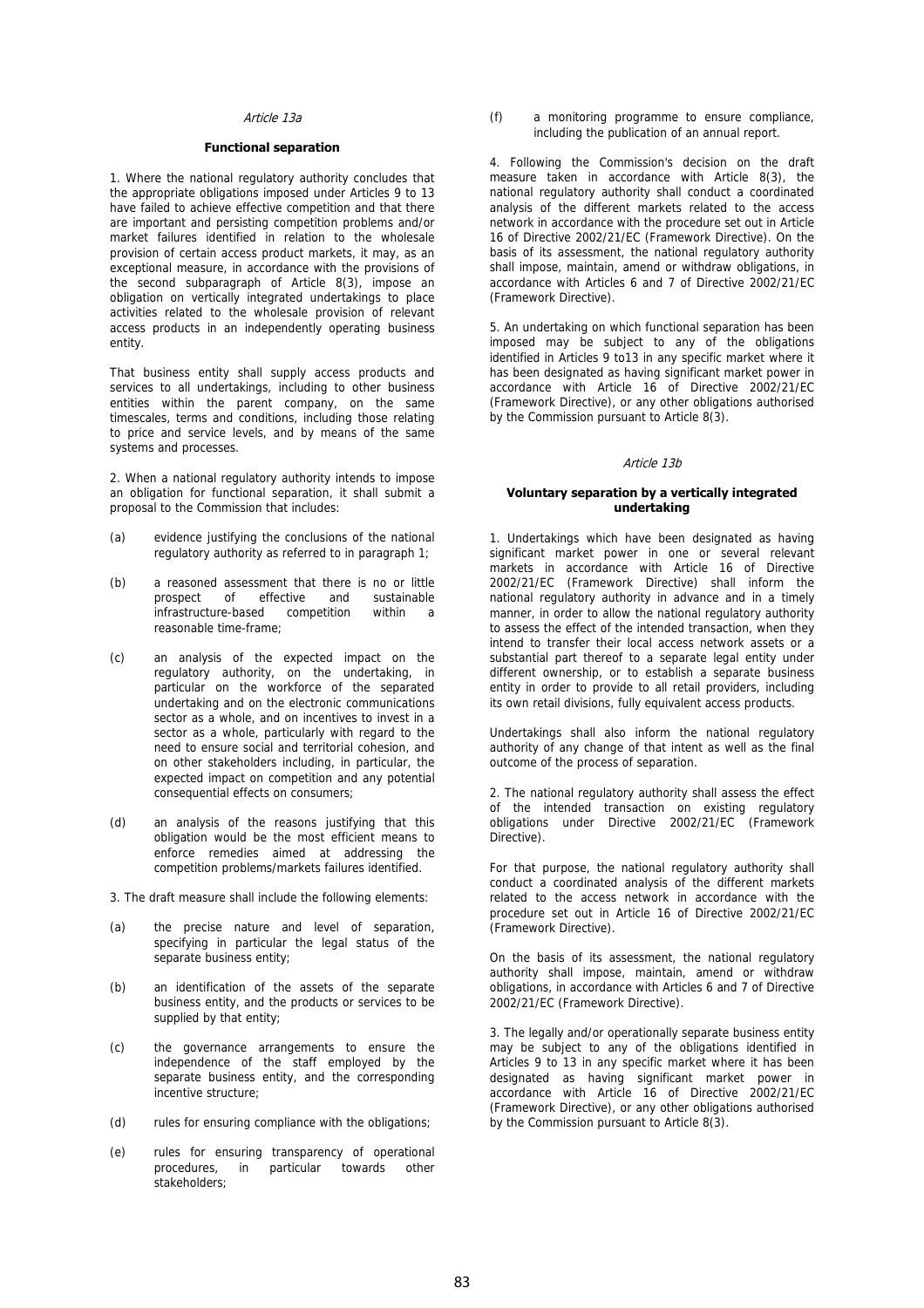#### Article 13a

### **Functional separation**

1. Where the national regulatory authority concludes that the appropriate obligations imposed under Articles 9 to 13 have failed to achieve effective competition and that there are important and persisting competition problems and/or market failures identified in relation to the wholesale provision of certain access product markets, it may, as an exceptional measure, in accordance with the provisions of the second subparagraph of Article 8(3), impose an obligation on vertically integrated undertakings to place activities related to the wholesale provision of relevant access products in an independently operating business entity.

That business entity shall supply access products and services to all undertakings, including to other business entities within the parent company, on the same timescales, terms and conditions, including those relating to price and service levels, and by means of the same systems and processes.

2. When a national regulatory authority intends to impose an obligation for functional separation, it shall submit a proposal to the Commission that includes:

- (a) evidence justifying the conclusions of the national regulatory authority as referred to in paragraph 1;
- (b) a reasoned assessment that there is no or little prospect of effective and sustainable infrastructure-based competition within a reasonable time-frame;
- (c) an analysis of the expected impact on the regulatory authority, on the undertaking, in particular on the workforce of the separated undertaking and on the electronic communications sector as a whole, and on incentives to invest in a sector as a whole, particularly with regard to the need to ensure social and territorial cohesion, and on other stakeholders including, in particular, the expected impact on competition and any potential consequential effects on consumers;
- (d) an analysis of the reasons justifying that this obligation would be the most efficient means to enforce remedies aimed at addressing the competition problems/markets failures identified.
- 3. The draft measure shall include the following elements:
- (a) the precise nature and level of separation, specifying in particular the legal status of the separate business entity;
- (b) an identification of the assets of the separate business entity, and the products or services to be supplied by that entity;
- (c) the governance arrangements to ensure the independence of the staff employed by the separate business entity, and the corresponding incentive structure;
- (d) rules for ensuring compliance with the obligations;
- (e) rules for ensuring transparency of operational procedures, in particular towards other stakeholders;

(f) a monitoring programme to ensure compliance, including the publication of an annual report.

 4. Following the Commission's decision on the draft measure taken in accordance with Article 8(3), the national regulatory authority shall conduct a coordinated analysis of the different markets related to the access network in accordance with the procedure set out in Article 16 of Directive 2002/21/EC (Framework Directive). On the basis of its assessment, the national regulatory authority shall impose, maintain, amend or withdraw obligations, in accordance with Articles 6 and 7 of Directive 2002/21/EC (Framework Directive).

5. An undertaking on which functional separation has been imposed may be subject to any of the obligations identified in Articles 9 to13 in any specific market where it has been designated as having significant market power in accordance with Article 16 of Directive 2002/21/EC (Framework Directive), or any other obligations authorised by the Commission pursuant to Article 8(3).

### Article 13b

### **Voluntary separation by a vertically integrated undertaking**

1. Undertakings which have been designated as having significant market power in one or several relevant markets in accordance with Article 16 of Directive 2002/21/EC (Framework Directive) shall inform the national regulatory authority in advance and in a timely manner, in order to allow the national regulatory authority to assess the effect of the intended transaction, when they intend to transfer their local access network assets or a substantial part thereof to a separate legal entity under different ownership, or to establish a separate business entity in order to provide to all retail providers, including its own retail divisions, fully equivalent access products.

 Undertakings shall also inform the national regulatory authority of any change of that intent as well as the final outcome of the process of separation.

2. The national regulatory authority shall assess the effect of the intended transaction on existing regulatory obligations under Directive 2002/21/EC (Framework Directive).

For that purpose, the national regulatory authority shall conduct a coordinated analysis of the different markets related to the access network in accordance with the procedure set out in Article 16 of Directive 2002/21/EC (Framework Directive).

On the basis of its assessment, the national regulatory authority shall impose, maintain, amend or withdraw obligations, in accordance with Articles 6 and 7 of Directive 2002/21/EC (Framework Directive).

3. The legally and/or operationally separate business entity may be subject to any of the obligations identified in Articles 9 to 13 in any specific market where it has been designated as having significant market power in accordance with Article 16 of Directive 2002/21/EC (Framework Directive), or any other obligations authorised by the Commission pursuant to Article 8(3).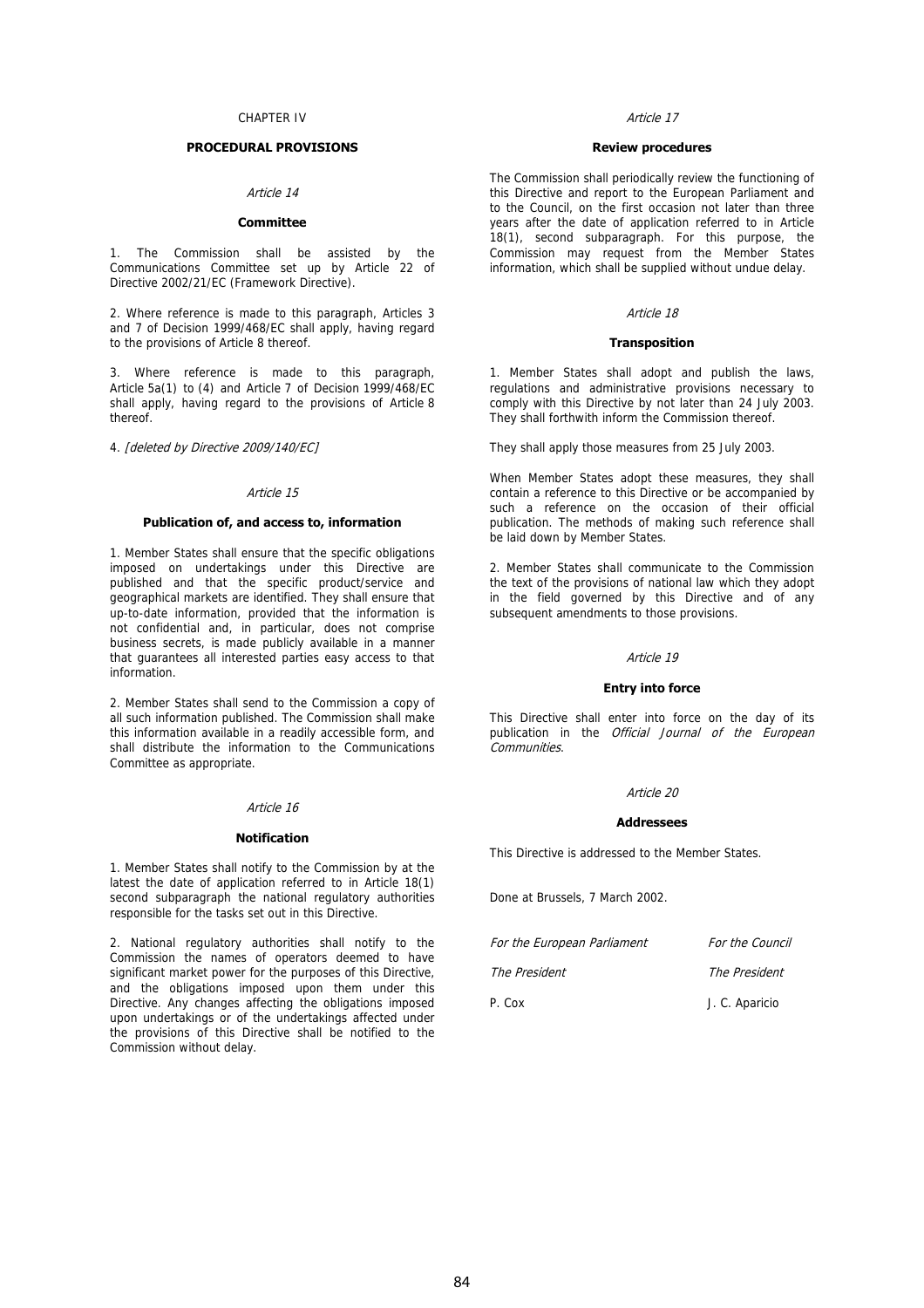### CHAPTER IV

## **PROCEDURAL PROVISIONS**

#### Article 14

#### **Committee**

1. The Commission shall be assisted by the Communications Committee set up by Article 22 of Directive 2002/21/EC (Framework Directive).

2. Where reference is made to this paragraph, Articles 3 and 7 of Decision 1999/468/EC shall apply, having regard to the provisions of Article 8 thereof.

3. Where reference is made to this paragraph, Article 5a(1) to (4) and Article 7 of Decision 1999/468/EC shall apply, having regard to the provisions of Article 8 thereof.

4. [deleted by Directive 2009/140/EC]

#### Article 15

#### **Publication of, and access to, information**

1. Member States shall ensure that the specific obligations imposed on undertakings under this Directive are published and that the specific product/service and geographical markets are identified. They shall ensure that up-to-date information, provided that the information is not confidential and, in particular, does not comprise business secrets, is made publicly available in a manner that guarantees all interested parties easy access to that information.

2. Member States shall send to the Commission a copy of all such information published. The Commission shall make this information available in a readily accessible form, and shall distribute the information to the Communications Committee as appropriate.

#### Article 16

#### **Notification**

1. Member States shall notify to the Commission by at the latest the date of application referred to in Article 18(1) second subparagraph the national regulatory authorities responsible for the tasks set out in this Directive.

2. National regulatory authorities shall notify to the Commission the names of operators deemed to have significant market power for the purposes of this Directive, and the obligations imposed upon them under this Directive. Any changes affecting the obligations imposed upon undertakings or of the undertakings affected under the provisions of this Directive shall be notified to the Commission without delay.

## Article 17

#### **Review procedures**

The Commission shall periodically review the functioning of this Directive and report to the European Parliament and to the Council, on the first occasion not later than three years after the date of application referred to in Article 18(1), second subparagraph. For this purpose, the Commission may request from the Member States information, which shall be supplied without undue delay.

### Article 18

#### **Transposition**

1. Member States shall adopt and publish the laws, regulations and administrative provisions necessary to comply with this Directive by not later than 24 July 2003. They shall forthwith inform the Commission thereof.

They shall apply those measures from 25 July 2003.

When Member States adopt these measures, they shall contain a reference to this Directive or be accompanied by such a reference on the occasion of their official publication. The methods of making such reference shall be laid down by Member States.

2. Member States shall communicate to the Commission the text of the provisions of national law which they adopt in the field governed by this Directive and of any subsequent amendments to those provisions.

#### Article 19

#### **Entry into force**

This Directive shall enter into force on the day of its publication in the Official Journal of the European .<br>Communities

#### Article 20

#### **Addressees**

This Directive is addressed to the Member States.

Done at Brussels, 7 March 2002.

| For the European Parliament | For the Council |  |
|-----------------------------|-----------------|--|
| The President               | The President   |  |
| P. Cox                      | J. C. Aparicio  |  |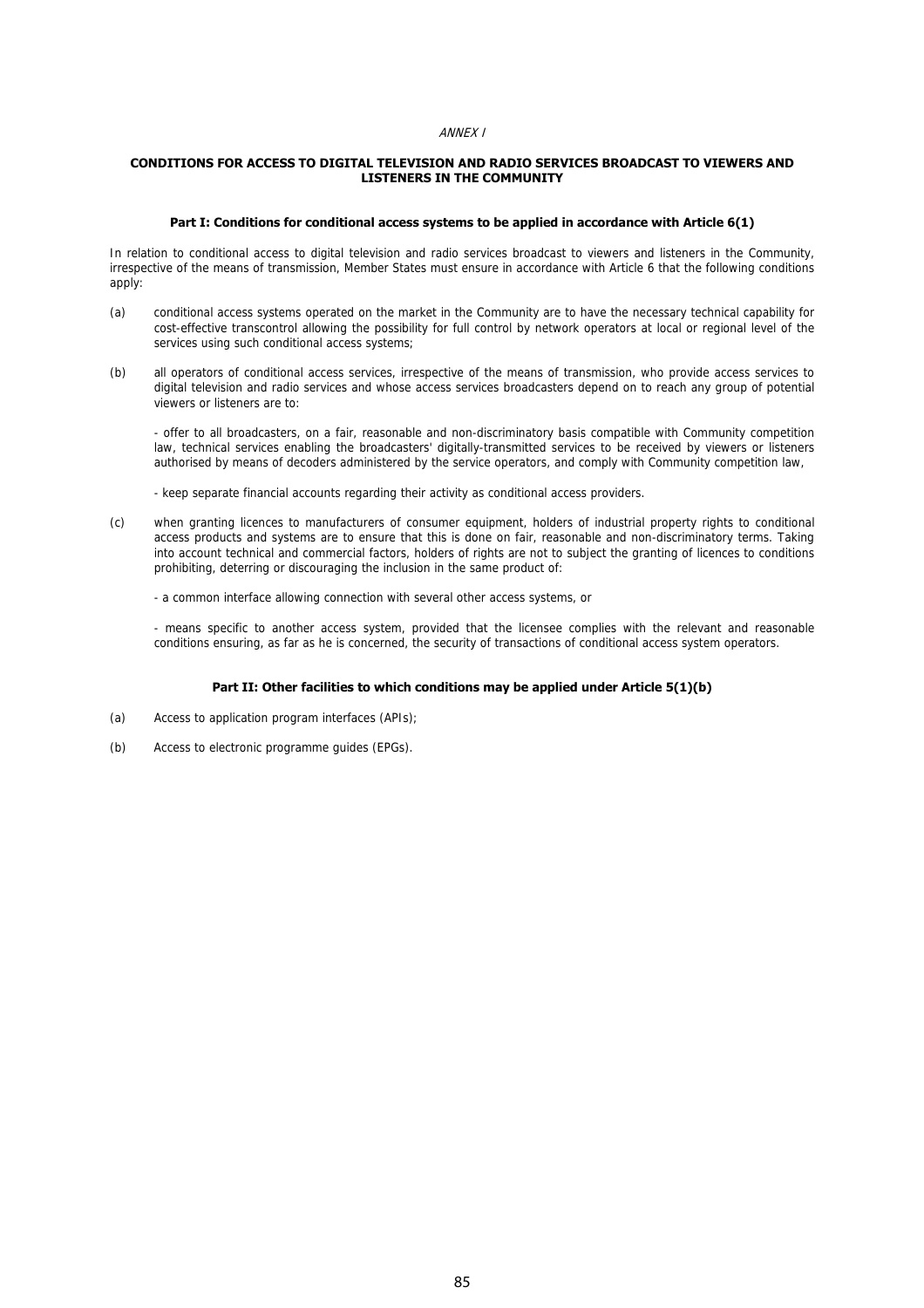## ANNEX I

### **CONDITIONS FOR ACCESS TO DIGITAL TELEVISION AND RADIO SERVICES BROADCAST TO VIEWERS AND LISTENERS IN THE COMMUNITY**

## **Part I: Conditions for conditional access systems to be applied in accordance with Article 6(1)**

In relation to conditional access to digital television and radio services broadcast to viewers and listeners in the Community, irrespective of the means of transmission, Member States must ensure in accordance with Article 6 that the following conditions apply:

- (a) conditional access systems operated on the market in the Community are to have the necessary technical capability for cost-effective transcontrol allowing the possibility for full control by network operators at local or regional level of the services using such conditional access systems;
- (b) all operators of conditional access services, irrespective of the means of transmission, who provide access services to digital television and radio services and whose access services broadcasters depend on to reach any group of potential viewers or listeners are to:

- offer to all broadcasters, on a fair, reasonable and non-discriminatory basis compatible with Community competition law, technical services enabling the broadcasters' digitally-transmitted services to be received by viewers or listeners authorised by means of decoders administered by the service operators, and comply with Community competition law,

- keep separate financial accounts regarding their activity as conditional access providers.

(c) when granting licences to manufacturers of consumer equipment, holders of industrial property rights to conditional access products and systems are to ensure that this is done on fair, reasonable and non-discriminatory terms. Taking into account technical and commercial factors, holders of rights are not to subject the granting of licences to conditions prohibiting, deterring or discouraging the inclusion in the same product of:

- a common interface allowing connection with several other access systems, or

- means specific to another access system, provided that the licensee complies with the relevant and reasonable conditions ensuring, as far as he is concerned, the security of transactions of conditional access system operators.

#### **Part II: Other facilities to which conditions may be applied under Article 5(1)(b)**

- (a) Access to application program interfaces (APIs);
- (b) Access to electronic programme guides (EPGs).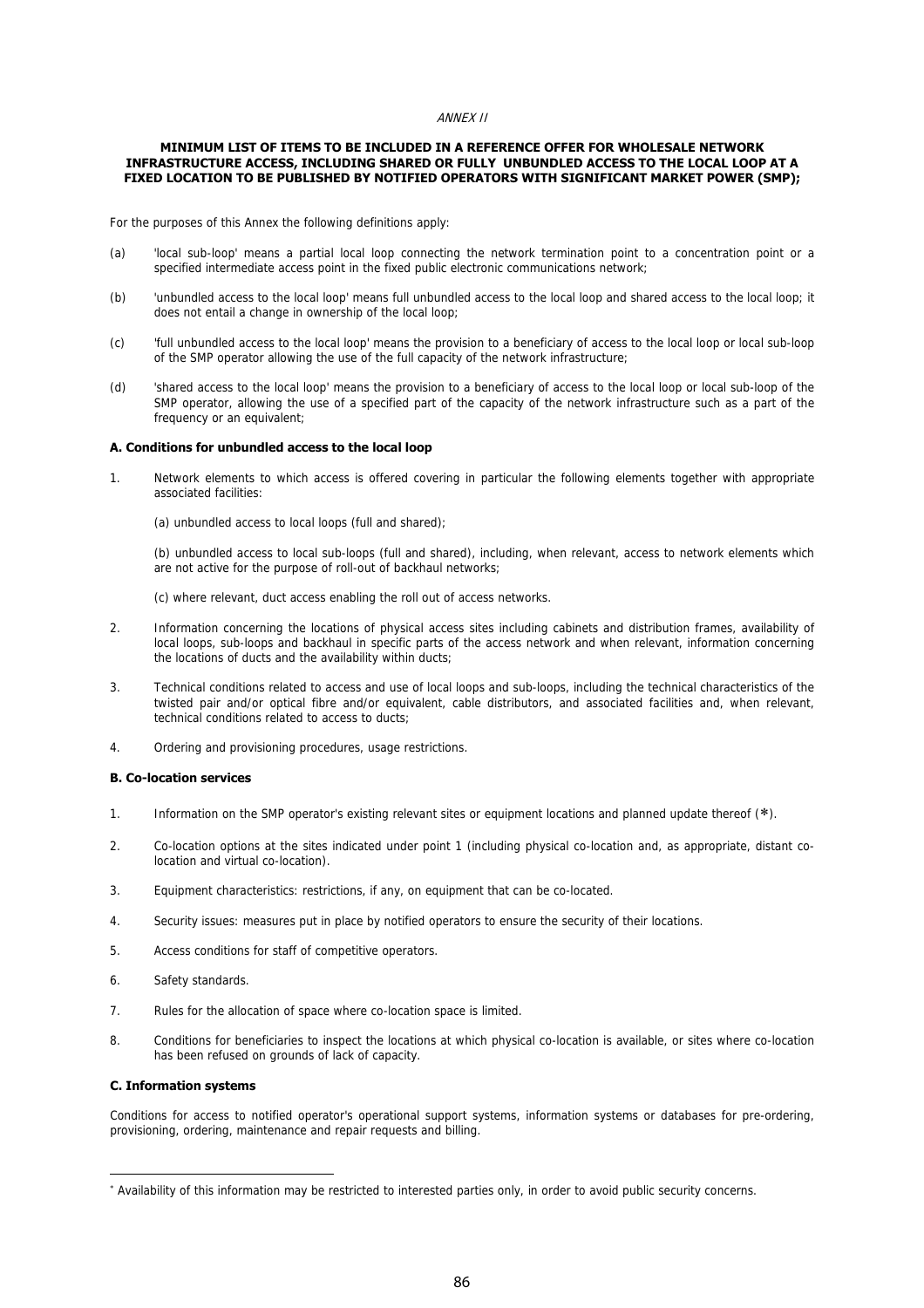## ANNEX II

### **MINIMUM LIST OF ITEMS TO BE INCLUDED IN A REFERENCE OFFER FOR WHOLESALE NETWORK INFRASTRUCTURE ACCESS, INCLUDING SHARED OR FULLY UNBUNDLED ACCESS TO THE LOCAL LOOP AT A FIXED LOCATION TO BE PUBLISHED BY NOTIFIED OPERATORS WITH SIGNIFICANT MARKET POWER (SMP);**

For the purposes of this Annex the following definitions apply:

- (a) 'local sub-loop' means a partial local loop connecting the network termination point to a concentration point or a specified intermediate access point in the fixed public electronic communications network;
- (b) 'unbundled access to the local loop' means full unbundled access to the local loop and shared access to the local loop; it does not entail a change in ownership of the local loop;
- (c) 'full unbundled access to the local loop' means the provision to a beneficiary of access to the local loop or local sub-loop of the SMP operator allowing the use of the full capacity of the network infrastructure;
- (d) 'shared access to the local loop' means the provision to a beneficiary of access to the local loop or local sub-loop of the SMP operator, allowing the use of a specified part of the capacity of the network infrastructure such as a part of the frequency or an equivalent;

#### **A. Conditions for unbundled access to the local loop**

- 1. Network elements to which access is offered covering in particular the following elements together with appropriate associated facilities:
	- (a) unbundled access to local loops (full and shared);

(b) unbundled access to local sub-loops (full and shared), including, when relevant, access to network elements which are not active for the purpose of roll-out of backhaul networks;

(c) where relevant, duct access enabling the roll out of access networks.

- 2. Information concerning the locations of physical access sites including cabinets and distribution frames, availability of local loops, sub-loops and backhaul in specific parts of the access network and when relevant, information concerning the locations of ducts and the availability within ducts;
- 3. Technical conditions related to access and use of local loops and sub-loops, including the technical characteristics of the twisted pair and/or optical fibre and/or equivalent, cable distributors, and associated facilities and, when relevant, technical conditions related to access to ducts;
- 4. Ordering and provisioning procedures, usage restrictions.

### **B. Co-location services**

- 1. Information on the SMP operator's existing relevant sites or equipment locations and planned update thereof (∗).
- 2. Co-location options at the sites indicated under point 1 (including physical co-location and, as appropriate, distant colocation and virtual co-location).
- 3. Equipment characteristics: restrictions, if any, on equipment that can be co-located.
- 4. Security issues: measures put in place by notified operators to ensure the security of their locations.
- 5. Access conditions for staff of competitive operators.
- 6. Safety standards.
- 7. Rules for the allocation of space where co-location space is limited.
- 8. Conditions for beneficiaries to inspect the locations at which physical co-location is available, or sites where co-location has been refused on grounds of lack of capacity.

#### **C. Information systems**

 $\overline{a}$ 

Conditions for access to notified operator's operational support systems, information systems or databases for pre-ordering, provisioning, ordering, maintenance and repair requests and billing.

<sup>∗</sup> Availability of this information may be restricted to interested parties only, in order to avoid public security concerns.